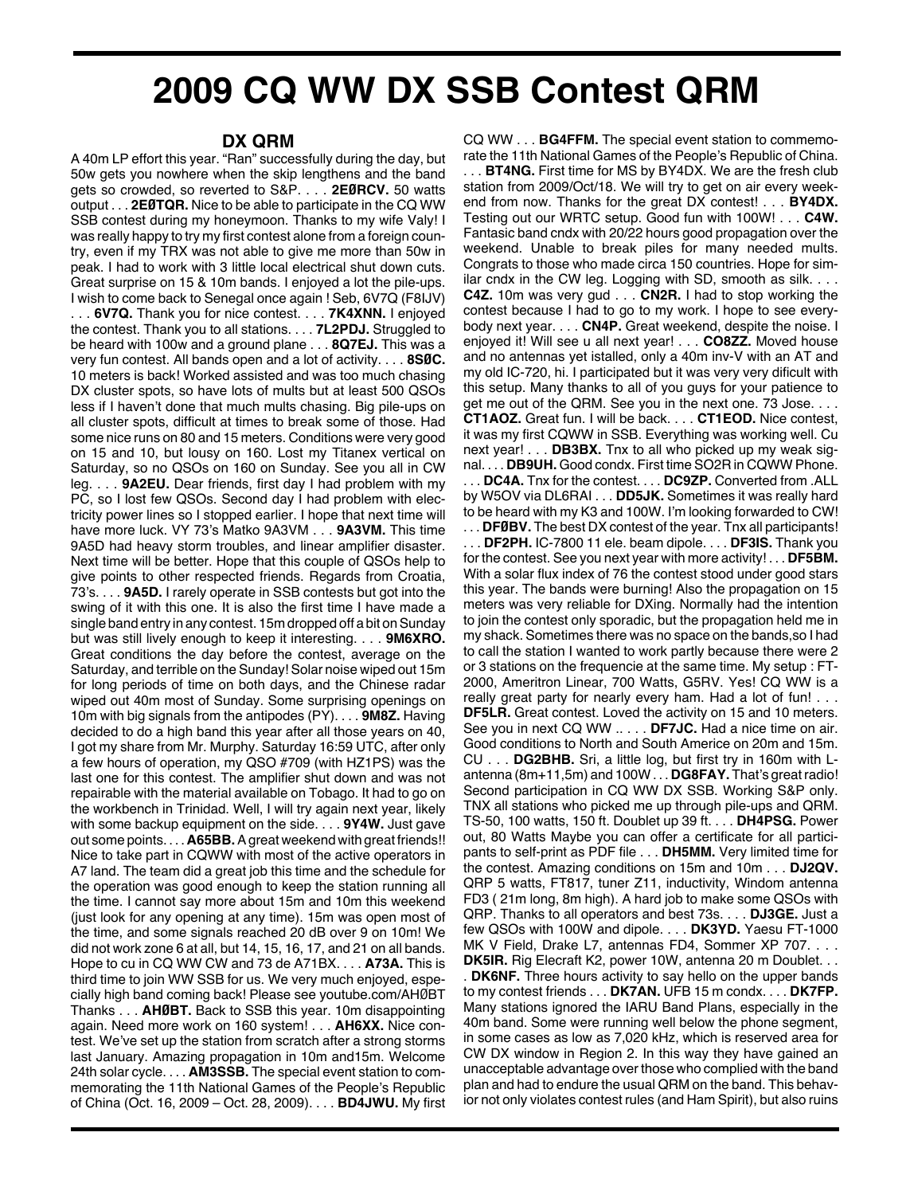## **2009 CQ WW DX SSB Contest QRM**

## **DX QRM**

A 40m LP effort this year. "Ran" successfully during the day, but 50w gets you nowhere when the skip lengthens and the band gets so crowded, so reverted to S&P. . . . **2EØRCV.** 50 watts output . . . **2EØTQR.** Nice to be able to participate in the CQ WW SSB contest during my honeymoon. Thanks to my wife Valy! I was really happy to try my first contest alone from a foreign country, even if my TRX was not able to give me more than 50w in peak. I had to work with 3 little local electrical shut down cuts. Great surprise on 15 & 10m bands. I enjoyed a lot the pile-ups. I wish to come back to Senegal once again ! Seb, 6V7Q (F8IJV) . . . **6V7Q.** Thank you for nice contest. . . . **7K4XNN.** I enjoyed the contest. Thank you to all stations. . . . **7L2PDJ.** Struggled to be heard with 100w and a ground plane . . . **8Q7EJ.** This was a very fun contest. All bands open and a lot of activity. . . . **8SØC.** 10 meters is back! Worked assisted and was too much chasing DX cluster spots, so have lots of mults but at least 500 QSOs less if I haven't done that much mults chasing. Big pile-ups on all cluster spots, difficult at times to break some of those. Had some nice runs on 80 and 15 meters. Conditions were very good on 15 and 10, but lousy on 160. Lost my Titanex vertical on Saturday, so no QSOs on 160 on Sunday. See you all in CW leg. . . . **9A2EU.** Dear friends, first day I had problem with my PC, so I lost few QSOs. Second day I had problem with electricity power lines so I stopped earlier. I hope that next time will have more luck. VY 73's Matko 9A3VM . . . **9A3VM.** This time 9A5D had heavy storm troubles, and linear amplifier disaster. Next time will be better. Hope that this couple of QSOs help to give points to other respected friends. Regards from Croatia, 73's. . . . **9A5D.** I rarely operate in SSB contests but got into the swing of it with this one. It is also the first time I have made a single band entry in any contest. 15m dropped off a bit on Sunday but was still lively enough to keep it interesting. . . . **9M6XRO.** Great conditions the day before the contest, average on the Saturday, and terrible on the Sunday! Solar noise wiped out 15m for long periods of time on both days, and the Chinese radar wiped out 40m most of Sunday. Some surprising openings on 10m with big signals from the antipodes (PY). . . . **9M8Z.** Having decided to do a high band this year after all those years on 40, I got my share from Mr. Murphy. Saturday 16:59 UTC, after only a few hours of operation, my QSO #709 (with HZ1PS) was the last one for this contest. The amplifier shut down and was not repairable with the material available on Tobago. It had to go on the workbench in Trinidad. Well, I will try again next year, likely with some backup equipment on the side. . . . **9Y4W.** Just gave out some points. . . . **A65BB.**Agreat weekend with great friends!! Nice to take part in CQWW with most of the active operators in A7 land. The team did a great job this time and the schedule for the operation was good enough to keep the station running all the time. I cannot say more about 15m and 10m this weekend (just look for any opening at any time). 15m was open most of the time, and some signals reached 20 dB over 9 on 10m! We did not work zone 6 at all, but 14, 15, 16, 17, and 21 on all bands. Hope to cu in CQ WW CW and 73 de A71BX. . . . **A73A.** This is third time to join WW SSB for us. We very much enjoyed, especially high band coming back! Please see youtube.com/AHØBT Thanks . . . **AHØBT.** Back to SSB this year. 10m disappointing again. Need more work on 160 system! . . . **AH6XX.** Nice contest. We've set up the station from scratch after a strong storms last January. Amazing propagation in 10m and15m. Welcome 24th solar cycle. . . . **AM3SSB.** The special event station to commemorating the 11th National Games of the People's Republic of China (Oct. 16, 2009 – Oct. 28, 2009). . . . **BD4JWU.** My first

CQ WW . . . **BG4FFM.** The special event station to commemorate the 11th National Games of the People's Republic of China.

. . . **BT4NG.** First time for MS by BY4DX. We are the fresh club station from 2009/Oct/18. We will try to get on air every weekend from now. Thanks for the great DX contest! . . . **BY4DX.** Testing out our WRTC setup. Good fun with 100W! . . . **C4W.** Fantasic band cndx with 20/22 hours good propagation over the weekend. Unable to break piles for many needed mults. Congrats to those who made circa 150 countries. Hope for similar cndx in the CW leg. Logging with SD, smooth as silk. . . . **C4Z.** 10m was very gud . . . **CN2R.** I had to stop working the contest because I had to go to my work. I hope to see everybody next year. . . . **CN4P.** Great weekend, despite the noise. I enjoyed it! Will see u all next year! . . . **CO8ZZ.** Moved house and no antennas yet istalled, only a 40m inv-V with an AT and my old IC-720, hi. I participated but it was very very dificult with this setup. Many thanks to all of you guys for your patience to get me out of the QRM. See you in the next one. 73 Jose. . . . **CT1AOZ.** Great fun. I will be back. . . . **CT1EOD.** Nice contest, it was my first CQWW in SSB. Everything was working well. Cu next year! . . . **DB3BX.** Tnx to all who picked up my weak signal. . . . **DB9UH.** Good condx. First time SO2R in CQWW Phone. . . . **DC4A.** Tnx for the contest. . . . **DC9ZP.** Converted from .ALL by W5OV via DL6RAI . . . **DD5JK.** Sometimes it was really hard to be heard with my K3 and 100W. I'm looking forwarded to CW! . . . **DFØBV.** The best DX contest of the year. Tnx all participants! . . . **DF2PH.** IC-7800 11 ele. beam dipole. . . . **DF3IS.** Thank you for the contest. See you next year with more activity! . . . **DF5BM.** With a solar flux index of 76 the contest stood under good stars this year. The bands were burning! Also the propagation on 15 meters was very reliable for DXing. Normally had the intention to join the contest only sporadic, but the propagation held me in my shack. Sometimes there was no space on the bands,so I had to call the station I wanted to work partly because there were 2 or 3 stations on the frequencie at the same time. My setup : FT-2000, Ameritron Linear, 700 Watts, G5RV. Yes! CQ WW is a really great party for nearly every ham. Had a lot of fun! . . . **DF5LR.** Great contest. Loved the activity on 15 and 10 meters. See you in next CQ WW .. . . . **DF7JC.** Had a nice time on air. Good conditions to North and South Americe on 20m and 15m. CU . . . **DG2BHB.** Sri, a little log, but first try in 160m with Lantenna (8m+11,5m) and 100W . . . **DG8FAY.** That's greatradio! Second participation in CQ WW DX SSB. Working S&P only. TNX all stations who picked me up through pile-ups and QRM. TS-50, 100 watts, 150 ft. Doublet up 39 ft. . . . **DH4PSG.** Power out, 80 Watts Maybe you can offer a certificate for all participants to self-print as PDF file . . . **DH5MM.** Very limited time for the contest. Amazing conditions on 15m and 10m . . . **DJ2QV.** QRP 5 watts, FT817, tuner Z11, inductivity, Windom antenna FD3 ( 21m long, 8m high). A hard job to make some QSOs with QRP. Thanks to all operators and best 73s. . . . **DJ3GE.** Just a few QSOs with 100W and dipole. . . . **DK3YD.** Yaesu FT-1000 MK V Field, Drake L7, antennas FD4, Sommer XP 707. . . . **DK5IR.** Rig Elecraft K2, power 10W, antenna 20 m Doublet. . . **DK6NF.** Three hours activity to say hello on the upper bands to my contest friends . . . **DK7AN.** UFB 15 m condx. . . . **DK7FP.** Many stations ignored the IARU Band Plans, especially in the 40m band. Some were running well below the phone segment, in some cases as low as 7,020 kHz, which is reserved area for CW DX window in Region 2. In this way they have gained an unacceptable advantage over those who complied with the band plan and had to endure the usual QRM on the band. This behavior not only violates contest rules (and Ham Spirit), but also ruins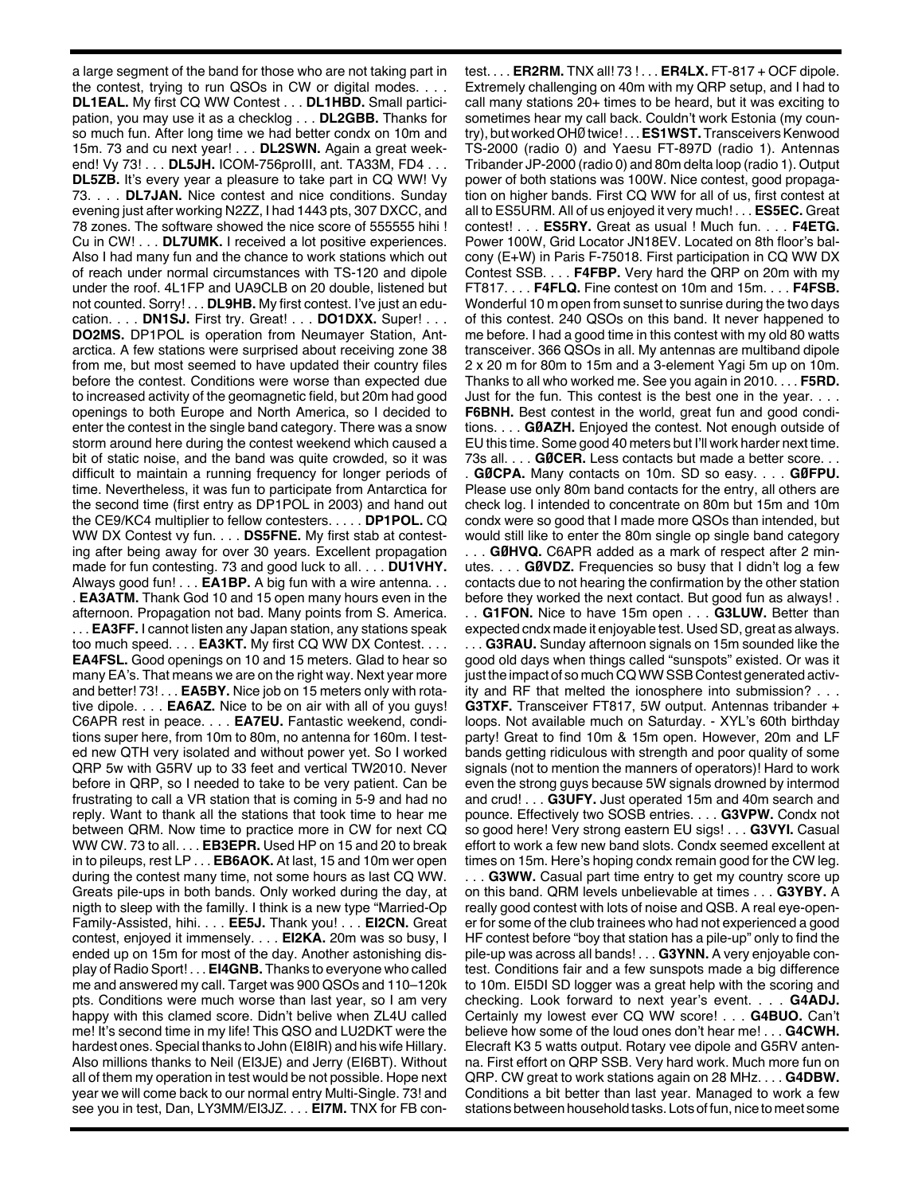a large segment of the band for those who are not taking part in the contest, trying to run QSOs in CW or digital modes. . . . **DL1EAL.** My first CQ WW Contest . . . **DL1HBD.** Small participation, you may use it as a checklog . . . **DL2GBB.** Thanks for so much fun. After long time we had better condx on 10m and 15m. 73 and cu next year! . . . **DL2SWN.** Again a great weekend! Vy 73! . . . **DL5JH.** ICOM-756proIII, ant. TA33M, FD4 . . . **DL5ZB.** It's every year a pleasure to take part in CQ WW! Vy 73. . . . **DL7JAN.** Nice contest and nice conditions. Sunday evening just after working N2ZZ, I had 1443 pts, 307 DXCC, and 78 zones. The software showed the nice score of 555555 hihi ! Cu in CW! . . . **DL7UMK.** I received a lot positive experiences. Also I had many fun and the chance to work stations which out of reach under normal circumstances with TS-120 and dipole under the roof. 4L1FP and UA9CLB on 20 double, listened but not counted. Sorry! . . . **DL9HB.** My first contest. I've just an education. . . . **DN1SJ.** First try. Great! . . . **DO1DXX.** Super! . . . **DO2MS.** DP1POL is operation from Neumayer Station, Antarctica. A few stations were surprised about receiving zone 38 from me, but most seemed to have updated their country files before the contest. Conditions were worse than expected due to increased activity of the geomagnetic field, but 20m had good openings to both Europe and North America, so I decided to enter the contest in the single band category. There was a snow storm around here during the contest weekend which caused a bit of static noise, and the band was quite crowded, so it was difficult to maintain a running frequency for longer periods of time. Nevertheless, it was fun to participate from Antarctica for the second time (first entry as DP1POL in 2003) and hand out the CE9/KC4 multiplier to fellow contesters. . . . . **DP1POL.** CQ WW DX Contest vy fun. . . . **DS5FNE.** My first stab at contesting after being away for over 30 years. Excellent propagation made for fun contesting. 73 and good luck to all. . . . **DU1VHY.** Always good fun! . . . **EA1BP.** A big fun with a wire antenna. . . . **EA3ATM.** Thank God 10 and 15 open many hours even in the afternoon. Propagation not bad. Many points from S. America. . . . **EA3FF.** I cannot listen any Japan station, any stations speak too much speed. . . . **EA3KT.** My first CQ WW DX Contest. . . . **EA4FSL.** Good openings on 10 and 15 meters. Glad to hear so many EA's. That means we are on the right way. Next year more and better! 73! . . . **EA5BY.** Nice job on 15 meters only with rotative dipole. . . . **EA6AZ.** Nice to be on air with all of you guys! C6APR rest in peace. . . . **EA7EU.** Fantastic weekend, conditions super here, from 10m to 80m, no antenna for 160m. I tested new QTH very isolated and without power yet. So I worked QRP 5w with G5RV up to 33 feet and vertical TW2010. Never before in QRP, so I needed to take to be very patient. Can be frustrating to call a VR station that is coming in 5-9 and had no reply. Want to thank all the stations that took time to hear me between QRM. Now time to practice more in CW for next CQ WW CW. 73 to all. . . . **EB3EPR.** Used HP on 15 and 20 to break in to pileups, rest LP . . . **EB6AOK.** At last, 15 and 10m wer open during the contest many time, not some hours as last CQ WW. Greats pile-ups in both bands. Only worked during the day, at nigth to sleep with the familly. I think is a new type "Married-Op Family-Assisted, hihi. . . . **EE5J.** Thank you! . . . **EI2CN.** Great contest, enjoyed it immensely. . . . **EI2KA.** 20m was so busy, I ended up on 15m for most of the day. Another astonishing display of Radio Sport! . . . **EI4GNB.** Thanks to everyone who called me and answered my call. Target was 900 QSOs and 110–120k pts. Conditions were much worse than last year, so I am very happy with this clamed score. Didn't belive when ZL4U called me! It's second time in my life! This QSO and LU2DKT were the hardest ones. Special thanks to John (EI8IR) and his wife Hillary. Also millions thanks to Neil (EI3JE) and Jerry (EI6BT). Without all of them my operation in test would be not possible. Hope next year we will come back to our normal entry Multi-Single. 73! and see you in test, Dan, LY3MM/EI3JZ. . . . **EI7M.** TNX for FB con-

test. . . . **ER2RM.** TNX all! 73 ! . . . **ER4LX.** FT-817 + OCF dipole. Extremely challenging on 40m with my QRP setup, and I had to call many stations 20+ times to be heard, but it was exciting to sometimes hear my call back. Couldn't work Estonia (my country), but worked OHØ twice! . . . **ES1WST.** Transceivers Kenwood TS-2000 (radio 0) and Yaesu FT-897D (radio 1). Antennas Tribander JP-2000 (radio 0) and 80m delta loop (radio 1). Output power of both stations was 100W. Nice contest, good propagation on higher bands. First CQ WW for all of us, first contest at all to ES5URM. All of us enjoyed it very much! . . . **ES5EC.** Great contest! . . . **ES5RY.** Great as usual ! Much fun. . . . **F4ETG.** Power 100W, Grid Locator JN18EV. Located on 8th floor's balcony (E+W) in Paris F-75018. First participation in CQ WW DX Contest SSB. . . . **F4FBP.** Very hard the QRP on 20m with my FT817. . . . **F4FLQ.** Fine contest on 10m and 15m. . . . **F4FSB.** Wonderful 10 m open from sunset to sunrise during the two days of this contest. 240 QSOs on this band. It never happened to me before. I had a good time in this contest with my old 80 watts transceiver. 366 QSOs in all. My antennas are multiband dipole 2 x 20 m for 80m to 15m and a 3-element Yagi 5m up on 10m. Thanks to all who worked me. See you again in 2010. . . . **F5RD.** Just for the fun. This contest is the best one in the year. . . . **F6BNH.** Best contest in the world, great fun and good conditions. . . . **GØAZH.** Enjoyed the contest. Not enough outside of EU this time. Some good 40 meters but I'll work harder next time. 73s all. . . . **GØCER.** Less contacts but made a better score. . .

. **GØCPA.** Many contacts on 10m. SD so easy. . . . **GØFPU.** Please use only 80m band contacts for the entry, all others are check log. I intended to concentrate on 80m but 15m and 10m condx were so good that I made more QSOs than intended, but would still like to enter the 80m single op single band category . . . **GØHVQ.** C6APR added as a mark of respect after 2 minutes. . . . **GØVDZ.** Frequencies so busy that I didn't log a few contacts due to not hearing the confirmation by the other station before they worked the next contact. But good fun as always! . . . **G1FON.** Nice to have 15m open . . . **G3LUW.** Better than expected cndx made it enjoyable test. Used SD, great as always.

. . . **G3RAU.** Sunday afternoon signals on 15m sounded like the good old days when things called "sunspots" existed. Or was it just the impact of so much CQWWSSB Contest generated activity and RF that melted the ionosphere into submission? . . . **G3TXF.** Transceiver FT817, 5W output. Antennas tribander + loops. Not available much on Saturday. - XYL's 60th birthday party! Great to find 10m & 15m open. However, 20m and LF bands getting ridiculous with strength and poor quality of some signals (not to mention the manners of operators)! Hard to work even the strong guys because 5W signals drowned by intermod and crud! . . . **G3UFY.** Just operated 15m and 40m search and pounce. Effectively two SOSB entries. . . . **G3VPW.** Condx not so good here! Very strong eastern EU sigs! . . . **G3VYI.** Casual effort to work a few new band slots. Condx seemed excellent at times on 15m. Here's hoping condx remain good for the CW leg.

. . . **G3WW.** Casual part time entry to get my country score up on this band. QRM levels unbelievable at times . . . **G3YBY.** A really good contest with lots of noise and QSB. A real eye-opener for some of the club trainees who had not experienced a good HF contest before "boy that station has a pile-up" only to find the pile-up was across all bands! . . . **G3YNN.** A very enjoyable contest. Conditions fair and a few sunspots made a big difference to 10m. EI5DI SD logger was a great help with the scoring and checking. Look forward to next year's event. . . . **G4ADJ.** Certainly my lowest ever CQ WW score! . . . **G4BUO.** Can't believe how some of the loud ones don't hear me! . . . **G4CWH.** Elecraft K3 5 watts output. Rotary vee dipole and G5RV antenna. First effort on QRP SSB. Very hard work. Much more fun on QRP. CW great to work stations again on 28 MHz. . . . **G4DBW.** Conditions a bit better than last year. Managed to work a few stations between household tasks. Lots of fun, nice to meet some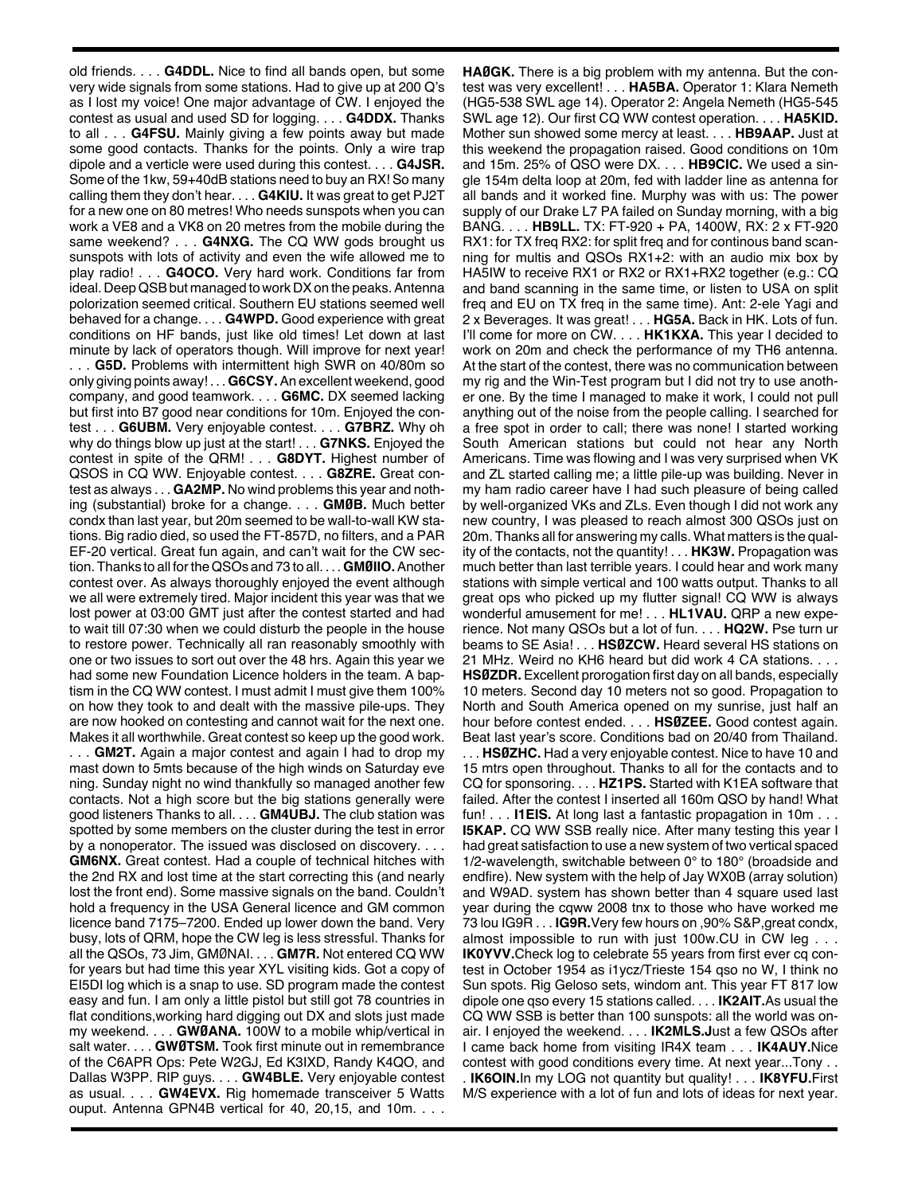old friends. . . . **G4DDL.** Nice to find all bands open, but some very wide signals from some stations. Had to give up at 200 Q's as I lost my voice! One major advantage of CW. I enjoyed the contest as usual and used SD for logging. . . . **G4DDX.** Thanks to all . . . **G4FSU.** Mainly giving a few points away but made some good contacts. Thanks for the points. Only a wire trap dipole and a verticle were used during this contest. . . . **G4JSR.** Some of the 1kw, 59+40dB stations need to buy an RX! So many calling them they don't hear. . . . **G4KIU.** It was great to get PJ2T for a new one on 80 metres! Who needs sunspots when you can work a VE8 and a VK8 on 20 metres from the mobile during the same weekend? . . . **G4NXG.** The CQ WW gods brought us sunspots with lots of activity and even the wife allowed me to play radio! . . . **G4OCO.** Very hard work. Conditions far from ideal. Deep QSB but managed to work DX on the peaks. Antenna polorization seemed critical. Southern EU stations seemed well behaved for a change. . . . **G4WPD.** Good experience with great conditions on HF bands, just like old times! Let down at last minute by lack of operators though. Will improve for next year! . . . **G5D.** Problems with intermittent high SWR on 40/80m so only giving points away! . . . **G6CSY.**An excellent weekend, good company, and good teamwork. . . . **G6MC.** DX seemed lacking but first into B7 good near conditions for 10m. Enjoyed the contest . . . **G6UBM.** Very enjoyable contest. . . . **G7BRZ.** Why oh why do things blow up just at the start! . . . **G7NKS.** Enjoyed the contest in spite of the QRM! . . . **G8DYT.** Highest number of QSOS in CQ WW. Enjoyable contest. . . . **G8ZRE.** Great contest as always . . . **GA2MP.** No wind problems this year and nothing (substantial) broke for a change. . . . **GMØB.** Much better condx than last year, but 20m seemed to be wall-to-wall KW stations. Big radio died, so used the FT-857D, no filters, and a PAR EF-20 vertical. Great fun again, and can't wait for the CW section. Thanks to all fortheQSOs and 73 to all. . . .**GMØIIO.**Another contest over. As always thoroughly enjoyed the event although we all were extremely tired. Major incident this year was that we lost power at 03:00 GMT just after the contest started and had to wait till 07:30 when we could disturb the people in the house to restore power. Technically all ran reasonably smoothly with one or two issues to sort out over the 48 hrs. Again this year we had some new Foundation Licence holders in the team. A baptism in the CQ WW contest. I must admit I must give them 100% on how they took to and dealt with the massive pile-ups. They are now hooked on contesting and cannot wait for the next one. Makes it all worthwhile. Great contest so keep up the good work. . . . **GM2T.** Again a major contest and again I had to drop my mast down to 5mts because of the high winds on Saturday eve ning. Sunday night no wind thankfully so managed another few contacts. Not a high score but the big stations generally were good listeners Thanks to all. . . . **GM4UBJ.** The club station was spotted by some members on the cluster during the test in error by a nonoperator. The issued was disclosed on discovery. . . . **GM6NX.** Great contest. Had a couple of technical hitches with the 2nd RX and lost time at the start correcting this (and nearly lost the front end). Some massive signals on the band. Couldn't hold a frequency in the USA General licence and GM common licence band 7175–7200. Ended up lower down the band. Very busy, lots of QRM, hope the CW leg is less stressful. Thanks for all the QSOs, 73 Jim, GMØNAI. . . . **GM7R.** Not entered CQ WW for years but had time this year XYL visiting kids. Got a copy of EI5DI log which is a snap to use. SD program made the contest easy and fun. I am only a little pistol but still got 78 countries in flat conditions,working hard digging out DX and slots just made my weekend. . . . **GWØANA.** 100W to a mobile whip/vertical in salt water. . . . **GWØTSM.** Took first minute out in remembrance of the C6APR Ops: Pete W2GJ, Ed K3IXD, Randy K4QO, and Dallas W3PP. RIP guys. . . . **GW4BLE.** Very enjoyable contest as usual. . . . **GW4EVX.** Rig homemade transceiver 5 Watts ouput. Antenna GPN4B vertical for 40, 20,15, and 10m. . . .

**HAØGK.** There is a big problem with my antenna. But the contest was very excellent! . . . **HA5BA.** Operator 1: Klara Nemeth (HG5-538 SWL age 14). Operator 2: Angela Nemeth (HG5-545 SWL age 12). Our first CQ WW contest operation. . . . **HA5KID.** Mother sun showed some mercy at least. . . . **HB9AAP.** Just at this weekend the propagation raised. Good conditions on 10m and 15m. 25% of QSO were DX. . . . **HB9CIC.** We used a single 154m delta loop at 20m, fed with ladder line as antenna for all bands and it worked fine. Murphy was with us: The power supply of our Drake L7 PA failed on Sunday morning, with a big BANG. . . . **HB9LL.** TX: FT-920 + PA, 1400W, RX: 2 x FT-920 RX1: for TX freq RX2: for split freq and for continous band scanning for multis and QSOs RX1+2: with an audio mix box by HA5IW to receive RX1 or RX2 or RX1+RX2 together (e.g.: CQ and band scanning in the same time, or listen to USA on split freq and EU on TX freq in the same time). Ant: 2-ele Yagi and 2 x Beverages. It was great! . . . **HG5A.** Back in HK. Lots of fun. I'll come for more on CW. . . . **HK1KXA.** This year I decided to work on 20m and check the performance of my TH6 antenna. At the start of the contest, there was no communication between my rig and the Win-Test program but I did not try to use another one. By the time I managed to make it work, I could not pull anything out of the noise from the people calling. I searched for a free spot in order to call; there was none! I started working South American stations but could not hear any North Americans. Time was flowing and I was very surprised when VK and ZL started calling me; a little pile-up was building. Never in my ham radio career have I had such pleasure of being called by well-organized VKs and ZLs. Even though I did not work any new country, I was pleased to reach almost 300 QSOs just on 20m. Thanks all for answering my calls. What matters is the quality of the contacts, not the quantity! . . . **HK3W.** Propagation was much better than last terrible years. I could hear and work many stations with simple vertical and 100 watts output. Thanks to all great ops who picked up my flutter signal! CQ WW is always wonderful amusement for me! . . . **HL1VAU.** QRP a new experience. Not many QSOs but a lot of fun. . . . **HQ2W.** Pse turn ur beams to SE Asia! . . . **HSØZCW.** Heard several HS stations on 21 MHz. Weird no KH6 heard but did work 4 CA stations. . . . **HSØZDR.** Excellent prorogation first day on all bands, especially 10 meters. Second day 10 meters not so good. Propagation to North and South America opened on my sunrise, just half an hour before contest ended. . . . **HSØZEE.** Good contest again. Beat last year's score. Conditions bad on 20/40 from Thailand. . HSØZHC. Had a very enjoyable contest. Nice to have 10 and 15 mtrs open throughout. Thanks to all for the contacts and to CQ for sponsoring. . . . **HZ1PS.** Started with K1EA software that failed. After the contest I inserted all 160m QSO by hand! What fun! . . . **I1EIS.** At long last a fantastic propagation in 10m . . . **I5KAP.** CQ WW SSB really nice. After many testing this year I had great satisfaction to use a new system of two vertical spaced 1/2-wavelength, switchable between 0° to 180° (broadside and endfire). New system with the help of Jay WX0B (array solution) and W9AD. system has shown better than 4 square used last year during the cqww 2008 tnx to those who have worked me 73 lou IG9R . . . **IG9R.**Very few hours on ,90% S&P,great condx, almost impossible to run with just 100w.CU in CW leg . . . **IK0YVV.**Check log to celebrate 55 years from first ever cq contest in October 1954 as i1ycz/Trieste 154 qso no W, I think no Sun spots. Rig Geloso sets, windom ant. This year FT 817 low dipole one qso every 15 stations called. . . . **IK2AIT.**As usual the CQ WW SSB is better than 100 sunspots: all the world was onair. I enjoyed the weekend. . . . **IK2MLS.J**ust a few QSOs after I came back home from visiting IR4X team . . . **IK4AUY.**Nice contest with good conditions every time. At next year...Tony . . . **IK6OIN.**In my LOG not quantity but quality! . . . **IK8YFU.**First M/S experience with a lot of fun and lots of ideas for next year.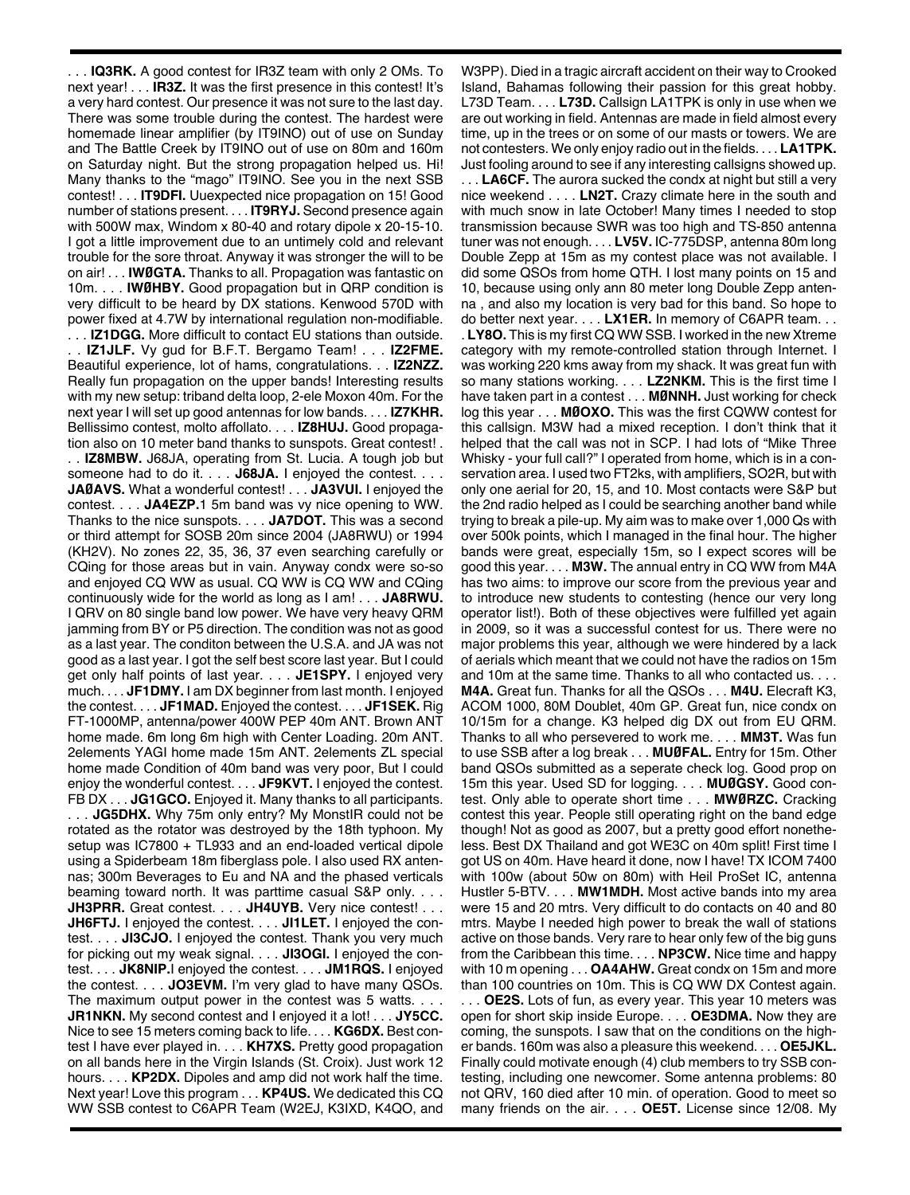. . . **IQ3RK.** A good contest for IR3Z team with only 2 OMs. To next year! . . . **IR3Z.** It was the first presence in this contest! It's a very hard contest. Our presence it was not sure to the last day. There was some trouble during the contest. The hardest were homemade linear amplifier (by IT9INO) out of use on Sunday and The Battle Creek by IT9INO out of use on 80m and 160m on Saturday night. But the strong propagation helped us. Hi! Many thanks to the "mago" IT9INO. See you in the next SSB contest! . . . **IT9DFI.** Uuexpected nice propagation on 15! Good number of stations present. . . . **IT9RYJ.** Second presence again with 500W max, Windom x 80-40 and rotary dipole x 20-15-10. I got a little improvement due to an untimely cold and relevant trouble for the sore throat. Anyway it was stronger the will to be on air! . . . **IWØGTA.** Thanks to all. Propagation was fantastic on 10m. . . . **IWØHBY.** Good propagation but in QRP condition is very difficult to be heard by DX stations. Kenwood 570D with power fixed at 4.7W by international regulation non-modifiable. . . . **IZ1DGG.** More difficult to contact EU stations than outside. . . **IZ1JLF.** Vy gud for B.F.T. Bergamo Team! . . . **IZ2FME.** Beautiful experience, lot of hams, congratulations. . . **IZ2NZZ.** Really fun propagation on the upper bands! Interesting results with my new setup: triband delta loop, 2-ele Moxon 40m. For the next year I will set up good antennas for low bands. . . . **IZ7KHR.** Bellissimo contest, molto affollato. . . . **IZ8HUJ.** Good propagation also on 10 meter band thanks to sunspots. Great contest! . . . **IZ8MBW.** J68JA, operating from St. Lucia. A tough job but someone had to do it. . . . **J68JA.** I enjoyed the contest. . . . **JAØAVS.** What a wonderful contest! . . . **JA3VUI.** I enjoyed the contest. . . . **JA4EZP.**1 5m band was vy nice opening to WW. Thanks to the nice sunspots. . . . **JA7DOT.** This was a second or third attempt for SOSB 20m since 2004 (JA8RWU) or 1994 (KH2V). No zones 22, 35, 36, 37 even searching carefully or CQing for those areas but in vain. Anyway condx were so-so and enjoyed CQ WW as usual. CQ WW is CQ WW and CQing continuously wide for the world as long as I am! . . . **JA8RWU.** I QRV on 80 single band low power. We have very heavy QRM jamming from BY or P5 direction. The condition was not as good as a last year. The conditon between the U.S.A. and JA was not good as a last year. I got the self best score last year. But I could get only half points of last year. . . . **JE1SPY.** I enjoyed very much. . . . **JF1DMY.** I am DX beginner from last month. I enjoyed the contest. . . . **JF1MAD.** Enjoyed the contest. . . . **JF1SEK.** Rig FT-1000MP, antenna/power 400W PEP 40m ANT. Brown ANT home made. 6m long 6m high with Center Loading. 20m ANT. 2elements YAGI home made 15m ANT. 2elements ZL special home made Condition of 40m band was very poor, But I could enjoy the wonderful contest. . . . **JF9KVT.** I enjoyed the contest. FB DX . . . **JG1GCO.** Enjoyed it. Many thanks to all participants. . . . **JG5DHX.** Why 75m only entry? My MonstIR could not be rotated as the rotator was destroyed by the 18th typhoon. My setup was IC7800 + TL933 and an end-loaded vertical dipole using a Spiderbeam 18m fiberglass pole. I also used RX antennas; 300m Beverages to Eu and NA and the phased verticals beaming toward north. It was parttime casual S&P only. . . . **JH3PRR.** Great contest. . . . **JH4UYB.** Very nice contest! . . . **JH6FTJ.** I enjoyed the contest. . . . **JI1LET.** I enjoyed the contest. . . . **JI3CJO.** I enjoyed the contest. Thank you very much for picking out my weak signal. . . . **JI3OGI.** I enjoyed the contest. . . . **JK8NIP.**I enjoyed the contest. . . . **JM1RQS.** I enjoyed the contest. . . . **JO3EVM.** I'm very glad to have many QSOs. The maximum output power in the contest was 5 watts. . . . **JR1NKN.** My second contest and I enjoyed it a lot! . . . **JY5CC.** Nice to see 15 meters coming back to life. . . . **KG6DX.** Best contest I have ever played in. . . . **KH7XS.** Pretty good propagation on all bands here in the Virgin Islands (St. Croix). Just work 12 hours. . . . **KP2DX.** Dipoles and amp did not work half the time. Next year! Love this program . . . **KP4US.** We dedicated this CQ WW SSB contest to C6APR Team (W2EJ, K3IXD, K4QO, and

W3PP). Died in a tragic aircraft accident on their way to Crooked Island, Bahamas following their passion for this great hobby. L73D Team. . . . **L73D.** Callsign LA1TPK is only in use when we are out working in field. Antennas are made in field almost every time, up in the trees or on some of our masts or towers. We are not contesters. We only enjoy radio out in the fields. . . . **LA1TPK.** Just fooling around to see if any interesting callsigns showed up.

. . . **LA6CF.** The aurora sucked the condx at night but still a very nice weekend . . . . **LN2T.** Crazy climate here in the south and with much snow in late October! Many times I needed to stop transmission because SWR was too high and TS-850 antenna tuner was not enough. . . . **LV5V.** IC-775DSP, antenna 80m long Double Zepp at 15m as my contest place was not available. I did some QSOs from home QTH. I lost many points on 15 and 10, because using only ann 80 meter long Double Zepp antenna , and also my location is very bad for this band. So hope to do better next year. . . . **LX1ER.** In memory of C6APR team. . . . **LY8O.** This is my first CQ WW SSB. I worked in the new Xtreme category with my remote-controlled station through Internet. I was working 220 kms away from my shack. It was great fun with so many stations working. . . . **LZ2NKM.** This is the first time I have taken part in a contest . . . **MØNNH.** Just working for check log this year . . . **MØOXO.** This was the first CQWW contest for this callsign. M3W had a mixed reception. I don't think that it helped that the call was not in SCP. I had lots of "Mike Three Whisky - your full call?" I operated from home, which is in a conservation area. I used two FT2ks, with amplifiers, SO2R, but with only one aerial for 20, 15, and 10. Most contacts were S&P but the 2nd radio helped as I could be searching another band while trying to break a pile-up. My aim was to make over 1,000 Qs with over 500k points, which I managed in the final hour. The higher bands were great, especially 15m, so I expect scores will be good this year. . . . **M3W.** The annual entry in CQ WW from M4A has two aims: to improve our score from the previous year and to introduce new students to contesting (hence our very long operator list!). Both of these objectives were fulfilled yet again in 2009, so it was a successful contest for us. There were no major problems this year, although we were hindered by a lack of aerials which meant that we could not have the radios on 15m and 10m at the same time. Thanks to all who contacted us. . . . **M4A.** Great fun. Thanks for all the QSOs . . . **M4U.** Elecraft K3, ACOM 1000, 80M Doublet, 40m GP. Great fun, nice condx on 10/15m for a change. K3 helped dig DX out from EU QRM. Thanks to all who persevered to work me. . . . **MM3T.** Was fun to use SSB after a log break . . . **MUØFAL.** Entry for 15m. Other band QSOs submitted as a seperate check log. Good prop on 15m this year. Used SD for logging. . . . **MUØGSY.** Good contest. Only able to operate short time . . . **MWØRZC.** Cracking contest this year. People still operating right on the band edge though! Not as good as 2007, but a pretty good effort nonetheless. Best DX Thailand and got WE3C on 40m split! First time I got US on 40m. Have heard it done, now I have! TX ICOM 7400 with 100w (about 50w on 80m) with Heil ProSet IC, antenna Hustler 5-BTV. . . . **MW1MDH.** Most active bands into my area were 15 and 20 mtrs. Very difficult to do contacts on 40 and 80 mtrs. Maybe I needed high power to break the wall of stations active on those bands. Very rare to hear only few of the big guns from the Caribbean this time. . . . **NP3CW.** Nice time and happy with 10 m opening . . . **OA4AHW.** Great condx on 15m and more than 100 countries on 10m. This is CQ WW DX Contest again. . . . **OE2S.** Lots of fun, as every year. This year 10 meters was open for short skip inside Europe. . . . **OE3DMA.** Now they are coming, the sunspots. I saw that on the conditions on the higher bands. 160m was also a pleasure this weekend. . . . **OE5JKL.** Finally could motivate enough (4) club members to try SSB contesting, including one newcomer. Some antenna problems: 80 not QRV, 160 died after 10 min. of operation. Good to meet so many friends on the air. . . . **OE5T.** License since 12/08. My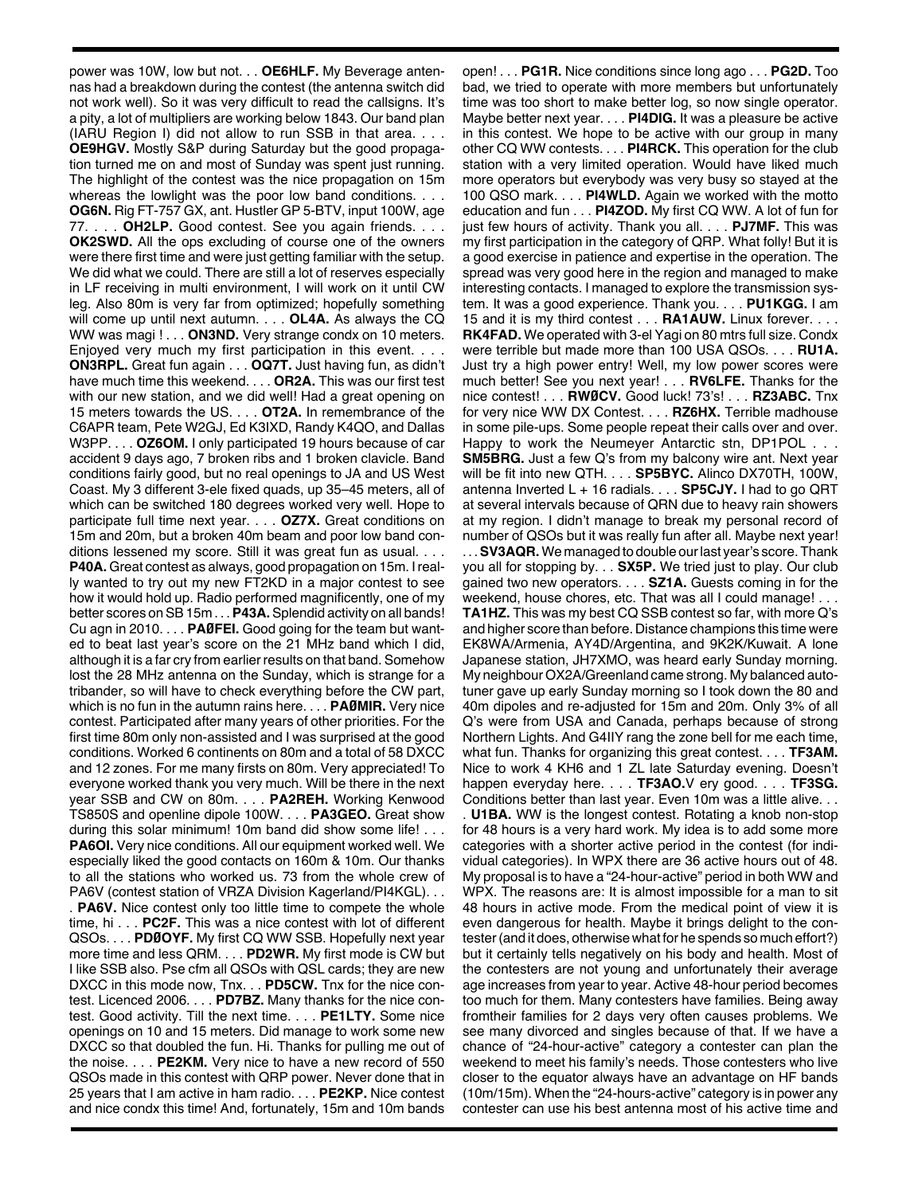power was 10W, low but not. . . **OE6HLF.** My Beverage antennas had a breakdown during the contest (the antenna switch did not work well). So it was very difficult to read the callsigns. It's a pity, a lot of multipliers are working below 1843. Our band plan (IARU Region I) did not allow to run SSB in that area. . . . **OE9HGV.** Mostly S&P during Saturday but the good propagation turned me on and most of Sunday was spent just running. The highlight of the contest was the nice propagation on 15m whereas the lowlight was the poor low band conditions. . . . **OG6N.** Rig FT-757 GX, ant. Hustler GP 5-BTV, input 100W, age 77. . . . **OH2LP.** Good contest. See you again friends. . . . **OK2SWD.** All the ops excluding of course one of the owners were there first time and were just getting familiar with the setup. We did what we could. There are still a lot of reserves especially in LF receiving in multi environment, I will work on it until CW leg. Also 80m is very far from optimized; hopefully something will come up until next autumn. . . . **OL4A.** As always the CQ WW was magi ! . . . **ON3ND.** Very strange condx on 10 meters. Enjoyed very much my first participation in this event. . . . **ON3RPL.** Great fun again . . . **OQ7T.** Just having fun, as didn't have much time this weekend. . . . **OR2A.** This was our first test with our new station, and we did well! Had a great opening on 15 meters towards the US. . . . **OT2A.** In remembrance of the C6APR team, Pete W2GJ, Ed K3IXD, Randy K4QO, and Dallas W3PP. . . . **OZ6OM.** I only participated 19 hours because of car accident 9 days ago, 7 broken ribs and 1 broken clavicle. Band conditions fairly good, but no real openings to JA and US West Coast. My 3 different 3-ele fixed quads, up 35–45 meters, all of which can be switched 180 degrees worked very well. Hope to participate full time next year. . . . **OZ7X.** Great conditions on 15m and 20m, but a broken 40m beam and poor low band conditions lessened my score. Still it was great fun as usual. . . . **P40A.** Great contest as always, good propagation on 15m. Ireally wanted to try out my new FT2KD in a major contest to see how it would hold up. Radio performed magnificently, one of my better scores on SB 15m . . . **P43A.** Splendid activity on all bands! Cu agn in 2010. . . . **PAØFEI.** Good going for the team but wanted to beat last year's score on the 21 MHz band which I did, although it is a far cry from earlier results on that band. Somehow lost the 28 MHz antenna on the Sunday, which is strange for a tribander, so will have to check everything before the CW part, which is no fun in the autumn rains here. . . . **PAØMIR.** Very nice contest. Participated after many years of other priorities. For the first time 80m only non-assisted and I was surprised at the good conditions. Worked 6 continents on 80m and a total of 58 DXCC and 12 zones. For me many firsts on 80m. Very appreciated! To everyone worked thank you very much. Will be there in the next year SSB and CW on 80m. . . . **PA2REH.** Working Kenwood TS850S and openline dipole 100W. . . . **PA3GEO.** Great show during this solar minimum! 10m band did show some life! . . . **PA6OI.** Very nice conditions. All our equipment worked well. We especially liked the good contacts on 160m & 10m. Our thanks to all the stations who worked us. 73 from the whole crew of PA6V (contest station of VRZA Division Kagerland/PI4KGL). . . **PA6V.** Nice contest only too little time to compete the whole time, hi . . . **PC2F.** This was a nice contest with lot of different QSOs. . . . **PDØOYF.** My first CQ WW SSB. Hopefully next year more time and less QRM. . . . **PD2WR.** My first mode is CW but I like SSB also. Pse cfm all QSOs with QSL cards; they are new DXCC in this mode now, Tnx. . . **PD5CW.** Tnx for the nice contest. Licenced 2006. . . . **PD7BZ.** Many thanks for the nice contest. Good activity. Till the next time. . . . **PE1LTY.** Some nice openings on 10 and 15 meters. Did manage to work some new DXCC so that doubled the fun. Hi. Thanks for pulling me out of the noise. . . . **PE2KM.** Very nice to have a new record of 550 QSOs made in this contest with QRP power. Never done that in 25 years that I am active in ham radio. . . . **PE2KP.** Nice contest and nice condx this time! And, fortunately, 15m and 10m bands

open! . . . **PG1R.** Nice conditions since long ago . . . **PG2D.** Too bad, we tried to operate with more members but unfortunately time was too short to make better log, so now single operator. Maybe better next year. . . . **PI4DIG.** It was a pleasure be active in this contest. We hope to be active with our group in many other CQ WW contests. . . . **PI4RCK.** This operation for the club station with a very limited operation. Would have liked much more operators but everybody was very busy so stayed at the 100 QSO mark. . . . **PI4WLD.** Again we worked with the motto education and fun . . . **PI4ZOD.** My first CQ WW. A lot of fun for just few hours of activity. Thank you all. . . . **PJ7MF.** This was my first participation in the category of QRP. What folly! But it is a good exercise in patience and expertise in the operation. The spread was very good here in the region and managed to make interesting contacts. I managed to explore the transmission system. It was a good experience. Thank you. . . . **PU1KGG.** I am 15 and it is my third contest . . . **RA1AUW.** Linux forever. . . . **RK4FAD.** We operated with 3-el Yagi on 80 mtrs full size. Condx were terrible but made more than 100 USA QSOs. . . . **RU1A.** Just try a high power entry! Well, my low power scores were much better! See you next year! . . . **RV6LFE.** Thanks for the nice contest! . . . **RWØCV.** Good luck! 73's! . . . **RZ3ABC.** Tnx for very nice WW DX Contest. . . . **RZ6HX.** Terrible madhouse in some pile-ups. Some people repeat their calls over and over. Happy to work the Neumeyer Antarctic stn, DP1POL . . . **SM5BRG.** Just a few Q's from my balcony wire ant. Next year will be fit into new QTH. . . . **SP5BYC.** Alinco DX70TH, 100W, antenna Inverted L + 16 radials. . . . **SP5CJY.** I had to go QRT at several intervals because of QRN due to heavy rain showers at my region. I didn't manage to break my personal record of number of QSOs but it was really fun after all. Maybe next year! . . .**SV3AQR.**We managed to double ourlast year's score.Thank you all for stopping by. . . **SX5P.** We tried just to play. Our club gained two new operators. . . . **SZ1A.** Guests coming in for the weekend, house chores, etc. That was all I could manage! . . . **TA1HZ.** This was my best CQ SSB contest so far, with more Q's and higher score than before. Distance champions this time were EK8WA/Armenia, AY4D/Argentina, and 9K2K/Kuwait. A lone Japanese station, JH7XMO, was heard early Sunday morning. My neighbour OX2A/Greenland came strong. My balanced autotuner gave up early Sunday morning so I took down the 80 and 40m dipoles and re-adjusted for 15m and 20m. Only 3% of all Q's were from USA and Canada, perhaps because of strong Northern Lights. And G4IIY rang the zone bell for me each time, what fun. Thanks for organizing this great contest. . . . **TF3AM.** Nice to work 4 KH6 and 1 ZL late Saturday evening. Doesn't happen everyday here. . . . **TF3AO.**V ery good. . . . **TF3SG.** Conditions better than last year. Even 10m was a little alive. . . . **U1BA.** WW is the longest contest. Rotating a knob non-stop for 48 hours is a very hard work. My idea is to add some more categories with a shorter active period in the contest (for individual categories). In WPX there are 36 active hours out of 48. My proposal is to have a "24-hour-active" period in both WW and WPX. The reasons are: It is almost impossible for a man to sit 48 hours in active mode. From the medical point of view it is even dangerous for health. Maybe it brings delight to the contester(and it does, otherwise what for he spends so much effort?) but it certainly tells negatively on his body and health. Most of the contesters are not young and unfortunately their average age increases from year to year. Active 48-hour period becomes too much for them. Many contesters have families. Being away fromtheir families for 2 days very often causes problems. We see many divorced and singles because of that. If we have a chance of "24-hour-active" category a contester can plan the weekend to meet his family's needs. Those contesters who live closer to the equator always have an advantage on HF bands (10m/15m). When the "24-hours-active" category is in power any contester can use his best antenna most of his active time and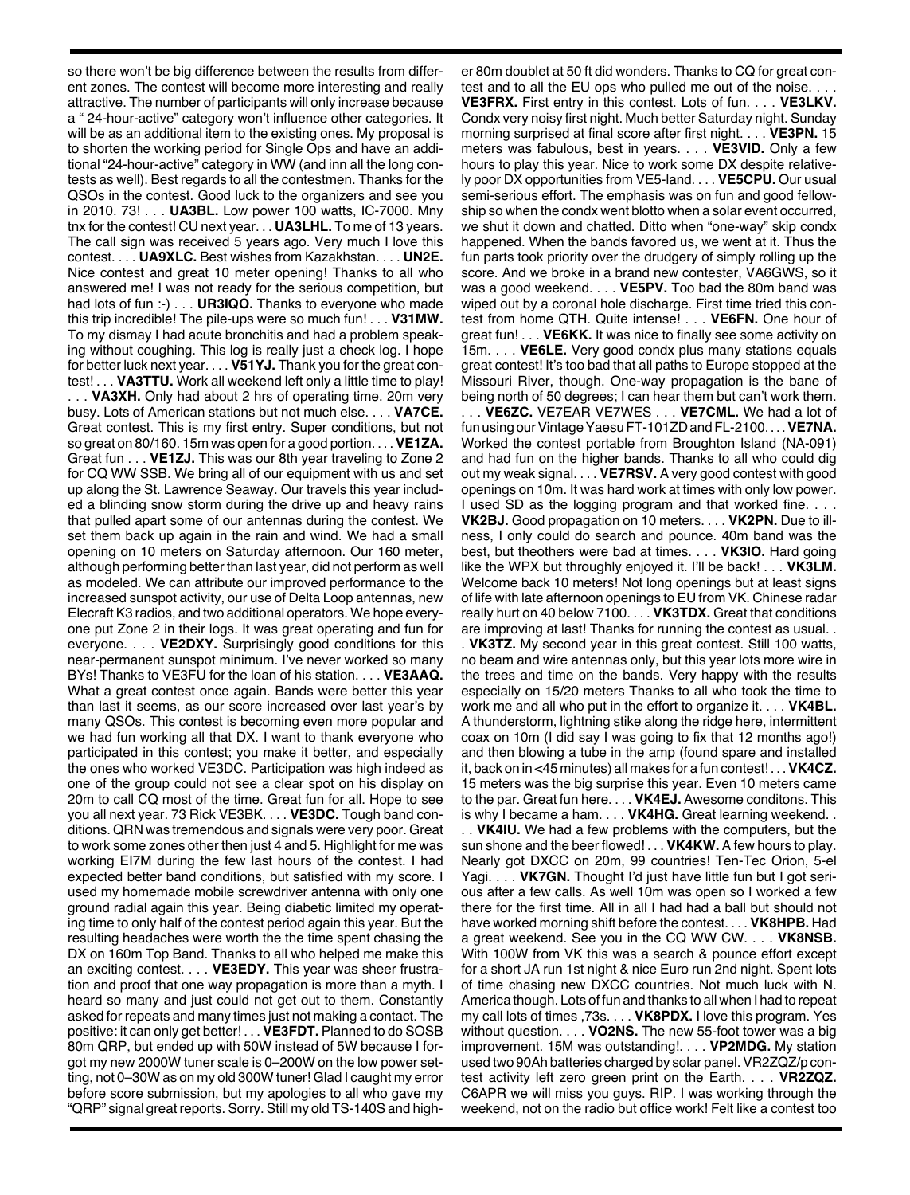so there won't be big difference between the results from different zones. The contest will become more interesting and really attractive. The number of participants will only increase because a " 24-hour-active" category won't influence other categories. It will be as an additional item to the existing ones. My proposal is to shorten the working period for Single Ops and have an additional "24-hour-active" category in WW (and inn all the long contests as well). Best regards to all the contestmen. Thanks for the QSOs in the contest. Good luck to the organizers and see you in 2010. 73! . . . **UA3BL.** Low power 100 watts, IC-7000. Mny tnx for the contest! CU next year. . . **UA3LHL.** To me of 13 years. The call sign was received 5 years ago. Very much I love this contest. . . . **UA9XLC.** Best wishes from Kazakhstan. . . . **UN2E.** Nice contest and great 10 meter opening! Thanks to all who answered me! I was not ready for the serious competition, but had lots of fun :-) . . . **UR3IQO.** Thanks to everyone who made this trip incredible! The pile-ups were so much fun! . . . **V31MW.** To my dismay I had acute bronchitis and had a problem speaking without coughing. This log is really just a check log. I hope for better luck next year. . . . **V51YJ.** Thank you for the great contest! . . . **VA3TTU.** Work all weekend left only a little time to play!

. . . **VA3XH.** Only had about 2 hrs of operating time. 20m very busy. Lots of American stations but not much else. . . . **VA7CE.** Great contest. This is my first entry. Super conditions, but not so great on 80/160. 15m was open for a good portion. . . .**VE1ZA.** Great fun . . . **VE1ZJ.** This was our 8th year traveling to Zone 2 for CQ WW SSB. We bring all of our equipment with us and set up along the St. Lawrence Seaway. Our travels this year included a blinding snow storm during the drive up and heavy rains that pulled apart some of our antennas during the contest. We set them back up again in the rain and wind. We had a small opening on 10 meters on Saturday afternoon. Our 160 meter, although performing better than last year, did not perform as well as modeled. We can attribute our improved performance to the increased sunspot activity, our use of Delta Loop antennas, new Elecraft K3 radios, and two additional operators. We hope everyone put Zone 2 in their logs. It was great operating and fun for everyone. . . . **VE2DXY.** Surprisingly good conditions for this near-permanent sunspot minimum. I've never worked so many BYs! Thanks to VE3FU for the loan of his station. . . . **VE3AAQ.** What a great contest once again. Bands were better this year than last it seems, as our score increased over last year's by many QSOs. This contest is becoming even more popular and we had fun working all that DX. I want to thank everyone who participated in this contest; you make it better, and especially the ones who worked VE3DC. Participation was high indeed as one of the group could not see a clear spot on his display on 20m to call CQ most of the time. Great fun for all. Hope to see you all next year. 73 Rick VE3BK. . . . **VE3DC.** Tough band conditions. QRN was tremendous and signals were very poor. Great to work some zones other then just 4 and 5. Highlight for me was working EI7M during the few last hours of the contest. I had expected better band conditions, but satisfied with my score. I used my homemade mobile screwdriver antenna with only one ground radial again this year. Being diabetic limited my operating time to only half of the contest period again this year. But the resulting headaches were worth the the time spent chasing the DX on 160m Top Band. Thanks to all who helped me make this an exciting contest. . . . **VE3EDY.** This year was sheer frustration and proof that one way propagation is more than a myth. I heard so many and just could not get out to them. Constantly asked for repeats and many times just not making a contact. The positive: it can only get better! . . . **VE3FDT.** Planned to do SOSB 80m QRP, but ended up with 50W instead of 5W because I forgot my new 2000W tuner scale is 0–200W on the low power setting, not 0–30W as on my old 300W tuner! Glad I caught my error before score submission, but my apologies to all who gave my "QRP" signal great reports. Sorry. Still my old TS-140S and higher 80m doublet at 50 ft did wonders. Thanks to CQ for great contest and to all the EU ops who pulled me out of the noise. . . . **VE3FRX.** First entry in this contest. Lots of fun. . . . **VE3LKV.** Condx very noisy first night. Much better Saturday night. Sunday morning surprised at final score after first night. . . . **VE3PN.** 15 meters was fabulous, best in years. . . . **VE3VID.** Only a few hours to play this year. Nice to work some DX despite relatively poor DX opportunities from VE5-land. . . . **VE5CPU.** Our usual semi-serious effort. The emphasis was on fun and good fellowship so when the condx went blotto when a solar event occurred, we shut it down and chatted. Ditto when "one-way" skip condx happened. When the bands favored us, we went at it. Thus the fun parts took priority over the drudgery of simply rolling up the score. And we broke in a brand new contester, VA6GWS, so it was a good weekend. . . . **VE5PV.** Too bad the 80m band was wiped out by a coronal hole discharge. First time tried this contest from home QTH. Quite intense! . . . **VE6FN.** One hour of great fun! . . . **VE6KK.** It was nice to finally see some activity on 15m. . . . **VE6LE.** Very good condx plus many stations equals great contest! It's too bad that all paths to Europe stopped at the Missouri River, though. One-way propagation is the bane of being north of 50 degrees; I can hear them but can't work them.

. . . **VE6ZC.** VE7EAR VE7WES . . . **VE7CML.** We had a lot of fun using our Vintage Yaesu FT-101ZD and FL-2100... . **VE7NA.** Worked the contest portable from Broughton Island (NA-091) and had fun on the higher bands. Thanks to all who could dig out my weak signal. . . . **VE7RSV.** A very good contest with good openings on 10m. It was hard work at times with only low power. I used SD as the logging program and that worked fine. . . . **VK2BJ.** Good propagation on 10 meters. . . . **VK2PN.** Due to illness, I only could do search and pounce. 40m band was the best, but theothers were bad at times. . . . **VK3IO.** Hard going like the WPX but throughly enjoyed it. I'll be back! . . . **VK3LM.** Welcome back 10 meters! Not long openings but at least signs of life with late afternoon openings to EU from VK. Chinese radar really hurt on 40 below 7100. . . . **VK3TDX.** Great that conditions are improving at last! Thanks for running the contest as usual. .

. **VK3TZ.** My second year in this great contest. Still 100 watts, no beam and wire antennas only, but this year lots more wire in the trees and time on the bands. Very happy with the results especially on 15/20 meters Thanks to all who took the time to work me and all who put in the effort to organize it. . . . **VK4BL.** A thunderstorm, lightning stike along the ridge here, intermittent coax on 10m (I did say I was going to fix that 12 months ago!) and then blowing a tube in the amp (found spare and installed it, back on in <45 minutes) all makes for a fun contest! . . .**VK4CZ.** 15 meters was the big surprise this year. Even 10 meters came to the par. Great fun here. . . . **VK4EJ.** Awesome conditons. This is why I became a ham. . . . **VK4HG.** Great learning weekend. .

. . **VK4IU.** We had a few problems with the computers, but the sun shone and the beer flowed! . . . **VK4KW.** A few hours to play. Nearly got DXCC on 20m, 99 countries! Ten-Tec Orion, 5-el Yagi. . . . **VK7GN.** Thought I'd just have little fun but I got serious after a few calls. As well 10m was open so I worked a few there for the first time. All in all I had had a ball but should not have worked morning shift before the contest. . . . **VK8HPB.** Had a great weekend. See you in the CQ WW CW. . . . **VK8NSB.** With 100W from VK this was a search & pounce effort except for a short JA run 1st night & nice Euro run 2nd night. Spent lots of time chasing new DXCC countries. Not much luck with N. America though. Lots of fun and thanks to all when I had to repeat my call lots of times ,73s. . . . **VK8PDX.** I love this program. Yes without question. . . . **VO2NS.** The new 55-foot tower was a big improvement. 15M was outstanding!. . . . **VP2MDG.** My station used two 90Ah batteries charged by solar panel.VR2ZQZ/p contest activity left zero green print on the Earth. . . . **VR2ZQZ.** C6APR we will miss you guys. RIP. I was working through the weekend, not on the radio but office work! Felt like a contest too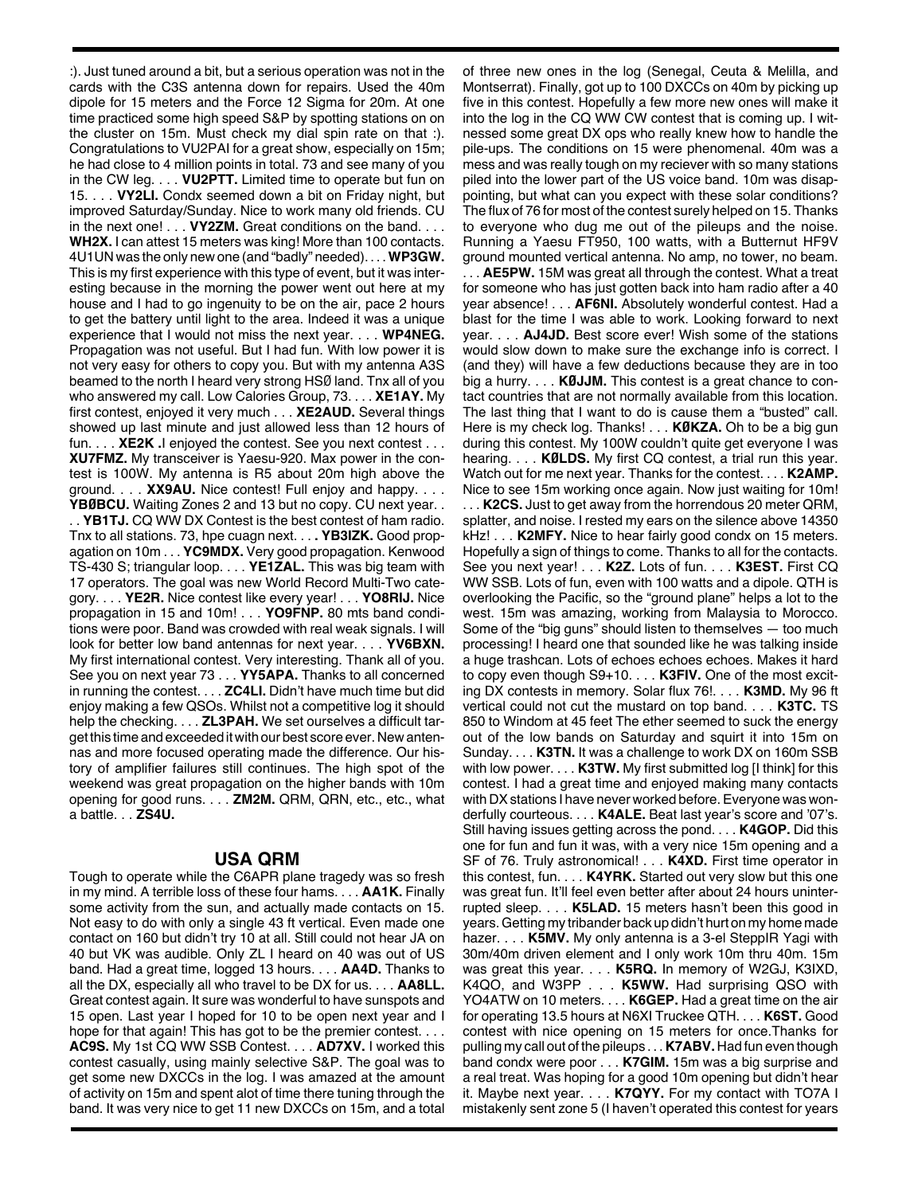:). Just tuned around a bit, but a serious operation was not in the cards with the C3S antenna down for repairs. Used the 40m dipole for 15 meters and the Force 12 Sigma for 20m. At one time practiced some high speed S&P by spotting stations on on the cluster on 15m. Must check my dial spin rate on that :). Congratulations to VU2PAI for a great show, especially on 15m; he had close to 4 million points in total. 73 and see many of you in the CW leg. . . . **VU2PTT.** Limited time to operate but fun on 15. . . . **VY2LI.** Condx seemed down a bit on Friday night, but improved Saturday/Sunday. Nice to work many old friends. CU in the next one! . . . **VY2ZM.** Great conditions on the band. . . . **WH2X.** I can attest 15 meters was king! More than 100 contacts. 4U1UN was the only new one (and "badly" needed). . . .**WP3GW.** This is my first experience with this type of event, but it was interesting because in the morning the power went out here at my house and I had to go ingenuity to be on the air, pace 2 hours to get the battery until light to the area. Indeed it was a unique experience that I would not miss the next year. . . . **WP4NEG.** Propagation was not useful. But I had fun. With low power it is not very easy for others to copy you. But with my antenna A3S beamed to the north I heard very strong HSØ land. Tnx all of you who answered my call. Low Calories Group, 73. . . . **XE1AY.** My first contest, enjoyed it very much . . . **XE2AUD.** Several things showed up last minute and just allowed less than 12 hours of fun. . . . **XE2K .**I enjoyed the contest. See you next contest . . . **XU7FMZ.** My transceiver is Yaesu-920. Max power in the contest is 100W. My antenna is R5 about 20m high above the ground. . . . **XX9AU.** Nice contest! Full enjoy and happy. . . . **YBØBCU.** Waiting Zones 2 and 13 but no copy. CU next year. .

. . **YB1TJ.** CQ WW DX Contest is the best contest of ham radio. Tnx to all stations. 73, hpe cuagn next. . . **. YB3IZK.** Good propagation on 10m . . . **YC9MDX.** Very good propagation. Kenwood TS-430 S; triangular loop. . . . **YE1ZAL.** This was big team with 17 operators. The goal was new World Record Multi-Two category. . . . **YE2R.** Nice contest like every year! . . . **YO8RIJ.** Nice propagation in 15 and 10m! . . . **YO9FNP.** 80 mts band conditions were poor. Band was crowded with real weak signals. I will look for better low band antennas for next year. . . . **YV6BXN.** My first international contest. Very interesting. Thank all of you. See you on next year 73 . . . **YY5APA.** Thanks to all concerned in running the contest. . . . **ZC4LI.** Didn't have much time but did enjoy making a few QSOs. Whilst not a competitive log it should help the checking. . . . **ZL3PAH.** We set ourselves a difficult target this time and exceeded it with our best score ever. New antennas and more focused operating made the difference. Our history of amplifier failures still continues. The high spot of the weekend was great propagation on the higher bands with 10m opening for good runs. . . . **ZM2M.** QRM, QRN, etc., etc., what a battle. . . **ZS4U.**

## **USA QRM**

Tough to operate while the C6APR plane tragedy was so fresh in my mind. A terrible loss of these four hams. . . . **AA1K.** Finally some activity from the sun, and actually made contacts on 15. Not easy to do with only a single 43 ft vertical. Even made one contact on 160 but didn't try 10 at all. Still could not hear JA on 40 but VK was audible. Only ZL I heard on 40 was out of US band. Had a great time, logged 13 hours. . . . **AA4D.** Thanks to all the DX, especially all who travel to be DX for us. . . . **AA8LL.** Great contest again. It sure was wonderful to have sunspots and 15 open. Last year I hoped for 10 to be open next year and I hope for that again! This has got to be the premier contest. . . . **AC9S.** My 1st CQ WW SSB Contest. . . . **AD7XV.** I worked this contest casually, using mainly selective S&P. The goal was to get some new DXCCs in the log. I was amazed at the amount of activity on 15m and spent alot of time there tuning through the band. It was very nice to get 11 new DXCCs on 15m, and a total

of three new ones in the log (Senegal, Ceuta & Melilla, and Montserrat). Finally, got up to 100 DXCCs on 40m by picking up five in this contest. Hopefully a few more new ones will make it into the log in the CQ WW CW contest that is coming up. I witnessed some great DX ops who really knew how to handle the pile-ups. The conditions on 15 were phenomenal. 40m was a mess and was really tough on my reciever with so many stations piled into the lower part of the US voice band. 10m was disappointing, but what can you expect with these solar conditions? The flux of 76 for most of the contest surely helped on 15. Thanks to everyone who dug me out of the pileups and the noise. Running a Yaesu FT950, 100 watts, with a Butternut HF9V ground mounted vertical antenna. No amp, no tower, no beam. . **AE5PW.** 15M was great all through the contest. What a treat for someone who has just gotten back into ham radio after a 40 year absence! . . . **AF6NI.** Absolutely wonderful contest. Had a blast for the time I was able to work. Looking forward to next year. . . . **AJ4JD.** Best score ever! Wish some of the stations would slow down to make sure the exchange info is correct. I (and they) will have a few deductions because they are in too big a hurry. . . . **KØJJM.** This contest is a great chance to contact countries that are not normally available from this location. The last thing that I want to do is cause them a "busted" call. Here is my check log. Thanks! . . . **KØKZA.** Oh to be a big gun during this contest. My 100W couldn't quite get everyone I was hearing. . . . **KØLDS.** My first CQ contest, a trial run this year. Watch out for me next year. Thanks for the contest. . . . **K2AMP.** Nice to see 15m working once again. Now just waiting for 10m! . . . **K2CS.** Just to get away from the horrendous 20 meter QRM, splatter, and noise. I rested my ears on the silence above 14350 kHz! . . . **K2MFY.** Nice to hear fairly good condx on 15 meters. Hopefully a sign of things to come. Thanks to all for the contacts. See you next year! . . . **K2Z.** Lots of fun. . . . **K3EST.** First CQ WW SSB. Lots of fun, even with 100 watts and a dipole. QTH is overlooking the Pacific, so the "ground plane" helps a lot to the west. 15m was amazing, working from Malaysia to Morocco. Some of the "big guns" should listen to themselves — too much processing! I heard one that sounded like he was talking inside a huge trashcan. Lots of echoes echoes echoes. Makes it hard to copy even though S9+10. . . . **K3FIV.** One of the most exciting DX contests in memory. Solar flux 76!. . . . **K3MD.** My 96 ft vertical could not cut the mustard on top band. . . . **K3TC.** TS 850 to Windom at 45 feet The ether seemed to suck the energy out of the low bands on Saturday and squirt it into 15m on Sunday. . . . **K3TN.** It was a challenge to work DX on 160m SSB with low power. . . . **K3TW.** My first submitted log [I think] for this contest. I had a great time and enjoyed making many contacts with DX stations I have never worked before. Everyone was wonderfully courteous. . . . **K4ALE.** Beat last year's score and '07's. Still having issues getting across the pond. . . . **K4GOP.** Did this one for fun and fun it was, with a very nice 15m opening and a SF of 76. Truly astronomical! . . . **K4XD.** First time operator in this contest, fun. . . . **K4YRK.** Started out very slow but this one was great fun. It'll feel even better after about 24 hours uninterrupted sleep. . . . **K5LAD.** 15 meters hasn't been this good in years.Getting my tribander back up didn't hurt on my home made hazer. . . . **K5MV.** My only antenna is a 3-el SteppIR Yagi with 30m/40m driven element and I only work 10m thru 40m. 15m was great this year. . . . **K5RQ.** In memory of W2GJ, K3IXD, K4QO, and W3PP . . . **K5WW.** Had surprising QSO with YO4ATW on 10 meters. . . . **K6GEP.** Had a great time on the air for operating 13.5 hours at N6XI Truckee QTH. . . . **K6ST.** Good contest with nice opening on 15 meters for once.Thanks for pulling my call out of the pileups . . . **K7ABV.** Had fun even though band condx were poor . . . **K7GIM.** 15m was a big surprise and a real treat. Was hoping for a good 10m opening but didn't hear it. Maybe next year. . . . **K7QYY.** For my contact with TO7A I mistakenly sent zone 5 (I haven't operated this contest for years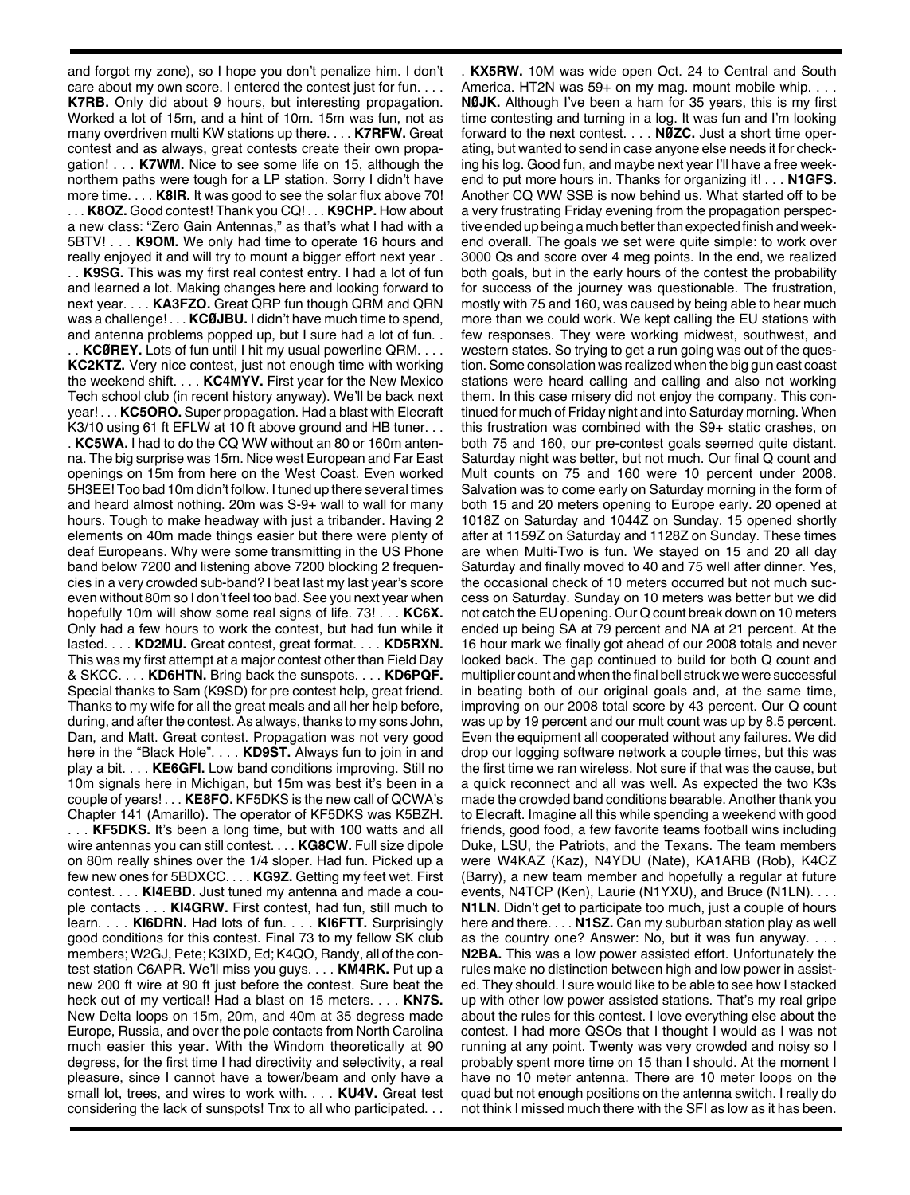and forgot my zone), so I hope you don't penalize him. I don't care about my own score. I entered the contest just for fun. . . . **K7RB.** Only did about 9 hours, but interesting propagation. Worked a lot of 15m, and a hint of 10m. 15m was fun, not as many overdriven multi KW stations up there. . . . **K7RFW.** Great contest and as always, great contests create their own propagation! . . . **K7WM.** Nice to see some life on 15, although the northern paths were tough for a LP station. Sorry I didn't have more time. . . . **K8IR.** It was good to see the solar flux above 70! . . . **K8OZ.** Good contest! Thank you CQ! . . . **K9CHP.** How about a new class: "Zero Gain Antennas," as that's what I had with a 5BTV! . . . **K9OM.** We only had time to operate 16 hours and really enjoyed it and will try to mount a bigger effort next year . . . **K9SG.** This was my first real contest entry. I had a lot of fun

and learned a lot. Making changes here and looking forward to next year. . . . **KA3FZO.** Great QRP fun though QRM and QRN was a challenge! . . . **KCØJBU.** I didn't have much time to spend, and antenna problems popped up, but I sure had a lot of fun. .

. . **KCØREY.** Lots of fun until I hit my usual powerline QRM. . . . **KC2KTZ.** Very nice contest, just not enough time with working the weekend shift. . . . **KC4MYV.** First year for the New Mexico Tech school club (in recent history anyway). We'll be back next year! . . . **KC5ORO.** Super propagation. Had a blast with Elecraft K3/10 using 61 ft EFLW at 10 ft above ground and HB tuner. . . . **KC5WA.** I had to do the CQ WW without an 80 or 160m antenna. The big surprise was 15m. Nice west European and Far East openings on 15m from here on the West Coast. Even worked 5H3EE! Too bad 10m didn't follow. I tuned up there several times and heard almost nothing. 20m was S-9+ wall to wall for many hours. Tough to make headway with just a tribander. Having 2 elements on 40m made things easier but there were plenty of deaf Europeans. Why were some transmitting in the US Phone band below 7200 and listening above 7200 blocking 2 frequencies in a very crowded sub-band? I beat last my last year's score even without 80m so I don't feel too bad. See you next year when hopefully 10m will show some real signs of life. 73! . . . **KC6X.** Only had a few hours to work the contest, but had fun while it lasted. . . . **KD2MU.** Great contest, great format. . . . **KD5RXN.** This was my first attempt at a major contest other than Field Day & SKCC. . . . **KD6HTN.** Bring back the sunspots. . . . **KD6PQF.** Special thanks to Sam (K9SD) for pre contest help, great friend. Thanks to my wife for all the great meals and all her help before, during, and after the contest. As always, thanks to my sons John, Dan, and Matt. Great contest. Propagation was not very good here in the "Black Hole". . . . **KD9ST.** Always fun to join in and play a bit. . . . **KE6GFI.** Low band conditions improving. Still no 10m signals here in Michigan, but 15m was best it's been in a couple of years! . . . **KE8FO.** KF5DKS is the new call of QCWA's Chapter 141 (Amarillo). The operator of KF5DKS was K5BZH.

. . . **KF5DKS.** It's been a long time, but with 100 watts and all wire antennas you can still contest. . . . **KG8CW.** Full size dipole on 80m really shines over the 1/4 sloper. Had fun. Picked up a few new ones for 5BDXCC. . . . **KG9Z.** Getting my feet wet. First contest. . . . **KI4EBD.** Just tuned my antenna and made a couple contacts . . . **KI4GRW.** First contest, had fun, still much to learn. . . . **KI6DRN.** Had lots of fun. . . . **KI6FTT.** Surprisingly good conditions for this contest. Final 73 to my fellow SK club members; W2GJ, Pete; K3IXD, Ed; K4QO, Randy, all of the contest station C6APR. We'll miss you guys. . . . **KM4RK.** Put up a new 200 ft wire at 90 ft just before the contest. Sure beat the heck out of my vertical! Had a blast on 15 meters. . . . **KN7S.** New Delta loops on 15m, 20m, and 40m at 35 degress made Europe, Russia, and over the pole contacts from North Carolina much easier this year. With the Windom theoretically at 90 degress, for the first time I had directivity and selectivity, a real pleasure, since I cannot have a tower/beam and only have a small lot, trees, and wires to work with. . . . **KU4V.** Great test considering the lack of sunspots! Tnx to all who participated. . .

. **KX5RW.** 10M was wide open Oct. 24 to Central and South America. HT2N was 59+ on my mag. mount mobile whip. . . . **NØJK.** Although I've been a ham for 35 years, this is my first time contesting and turning in a log. It was fun and I'm looking forward to the next contest. . . . **NØZC.** Just a short time operating, but wanted to send in case anyone else needs it for checking his log. Good fun, and maybe next year I'll have a free weekend to put more hours in. Thanks for organizing it! . . . **N1GFS.** Another CQ WW SSB is now behind us. What started off to be a very frustrating Friday evening from the propagation perspective ended up being a much better than expected finish and weekend overall. The goals we set were quite simple: to work over 3000 Qs and score over 4 meg points. In the end, we realized both goals, but in the early hours of the contest the probability for success of the journey was questionable. The frustration, mostly with 75 and 160, was caused by being able to hear much more than we could work. We kept calling the EU stations with few responses. They were working midwest, southwest, and western states. So trying to get a run going was out of the question. Some consolation was realized when the big gun east coast stations were heard calling and calling and also not working them. In this case misery did not enjoy the company. This continued for much of Friday night and into Saturday morning. When this frustration was combined with the S9+ static crashes, on both 75 and 160, our pre-contest goals seemed quite distant. Saturday night was better, but not much. Our final Q count and Mult counts on 75 and 160 were 10 percent under 2008. Salvation was to come early on Saturday morning in the form of both 15 and 20 meters opening to Europe early. 20 opened at 1018Z on Saturday and 1044Z on Sunday. 15 opened shortly after at 1159Z on Saturday and 1128Z on Sunday. These times are when Multi-Two is fun. We stayed on 15 and 20 all day Saturday and finally moved to 40 and 75 well after dinner. Yes, the occasional check of 10 meters occurred but not much success on Saturday. Sunday on 10 meters was better but we did not catch the EU opening. Our Q count break down on 10 meters ended up being SA at 79 percent and NA at 21 percent. At the 16 hour mark we finally got ahead of our 2008 totals and never looked back. The gap continued to build for both Q count and multiplier count and when the final bell struck we were successful in beating both of our original goals and, at the same time, improving on our 2008 total score by 43 percent. Our Q count was up by 19 percent and our mult count was up by 8.5 percent. Even the equipment all cooperated without any failures. We did drop our logging software network a couple times, but this was the first time we ran wireless. Not sure if that was the cause, but a quick reconnect and all was well. As expected the two K3s made the crowded band conditions bearable. Another thank you to Elecraft. Imagine all this while spending a weekend with good friends, good food, a few favorite teams football wins including Duke, LSU, the Patriots, and the Texans. The team members were W4KAZ (Kaz), N4YDU (Nate), KA1ARB (Rob), K4CZ (Barry), a new team member and hopefully a regular at future events, N4TCP (Ken), Laurie (N1YXU), and Bruce (N1LN). . . . **N1LN.** Didn't get to participate too much, just a couple of hours here and there. . . . **N1SZ.** Can my suburban station play as well as the country one? Answer: No, but it was fun anyway. . . . **N2BA.** This was a low power assisted effort. Unfortunately the rules make no distinction between high and low power in assisted. They should. I sure would like to be able to see how I stacked up with other low power assisted stations. That's my real gripe about the rules for this contest. I love everything else about the contest. I had more QSOs that I thought I would as I was not running at any point. Twenty was very crowded and noisy so I probably spent more time on 15 than I should. At the moment I have no 10 meter antenna. There are 10 meter loops on the quad but not enough positions on the antenna switch. I really do not think I missed much there with the SFI as low as it has been.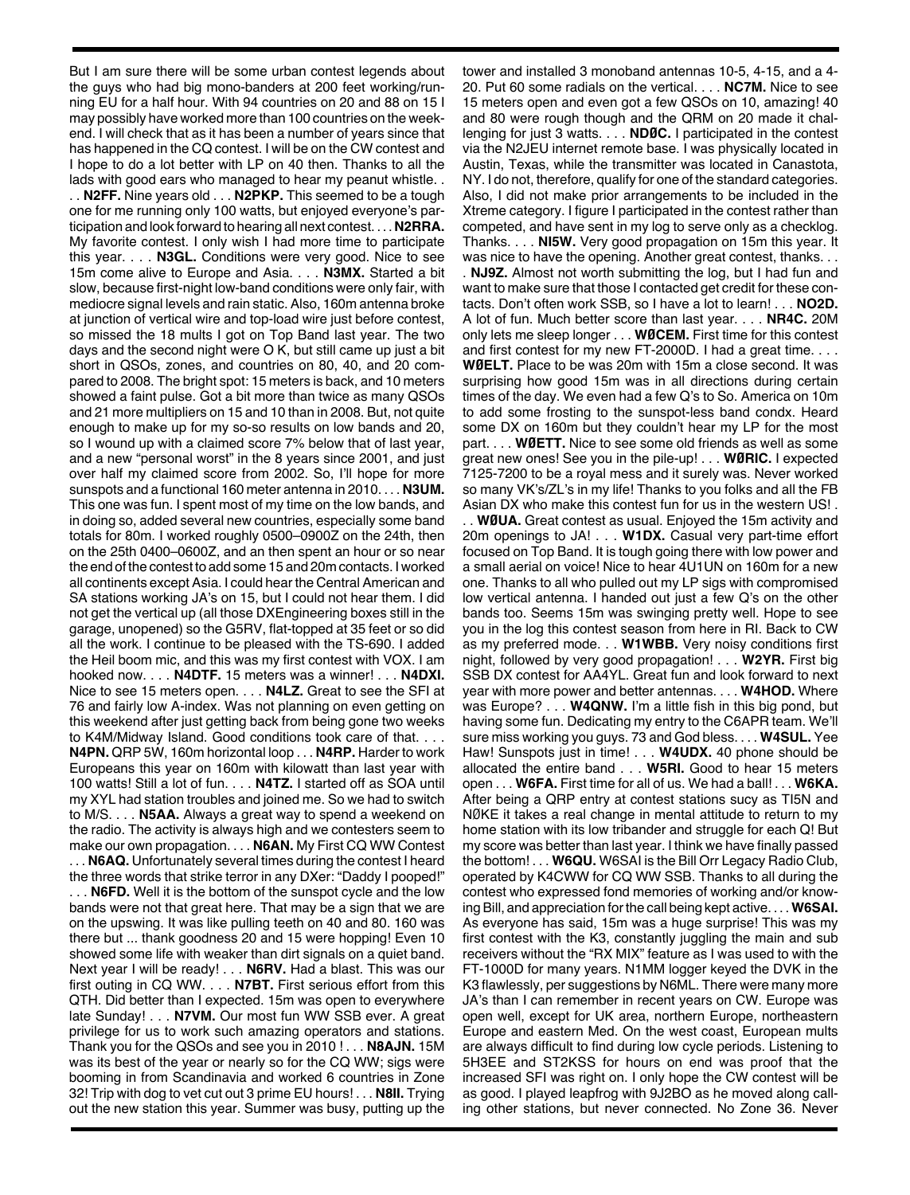But I am sure there will be some urban contest legends about the guys who had big mono-banders at 200 feet working/running EU for a half hour. With 94 countries on 20 and 88 on 15 I may possibly have worked more than 100 countries on the weekend. I will check that as it has been a number of years since that has happened in the CQ contest. I will be on the CW contest and I hope to do a lot better with LP on 40 then. Thanks to all the lads with good ears who managed to hear my peanut whistle. .

. . **N2FF.** Nine years old . . . **N2PKP.** This seemed to be a tough one for me running only 100 watts, but enjoyed everyone's participation and look forward to hearing all next contest. . . . **N2RRA.** My favorite contest. I only wish I had more time to participate this year. . . . **N3GL.** Conditions were very good. Nice to see 15m come alive to Europe and Asia. . . . **N3MX.** Started a bit slow, because first-night low-band conditions were only fair, with mediocre signal levels and rain static. Also, 160m antenna broke at junction of vertical wire and top-load wire just before contest, so missed the 18 mults I got on Top Band last year. The two days and the second night were O K, but still came up just a bit short in QSOs, zones, and countries on 80, 40, and 20 compared to 2008. The bright spot: 15 meters is back, and 10 meters showed a faint pulse. Got a bit more than twice as many QSOs and 21 more multipliers on 15 and 10 than in 2008. But, not quite enough to make up for my so-so results on low bands and 20, so I wound up with a claimed score 7% below that of last year, and a new "personal worst" in the 8 years since 2001, and just over half my claimed score from 2002. So, I'll hope for more sunspots and a functional 160 meter antenna in 2010. . . . **N3UM.** This one was fun. I spent most of my time on the low bands, and in doing so, added several new countries, especially some band totals for 80m. I worked roughly 0500–0900Z on the 24th, then on the 25th 0400–0600Z, and an then spent an hour or so near the end of the contest to add some 15 and 20m contacts. I worked all continents except Asia. I could hear the Central American and SA stations working JA's on 15, but I could not hear them. I did not get the vertical up (all those DXEngineering boxes still in the garage, unopened) so the G5RV, flat-topped at 35 feet or so did all the work. I continue to be pleased with the TS-690. I added the Heil boom mic, and this was my first contest with VOX. I am hooked now. . . . **N4DTF.** 15 meters was a winner! . . . **N4DXI.** Nice to see 15 meters open. . . . **N4LZ.** Great to see the SFI at 76 and fairly low A-index. Was not planning on even getting on this weekend after just getting back from being gone two weeks to K4M/Midway Island. Good conditions took care of that. . . . **N4PN.** QRP 5W, 160m horizontal loop . . . **N4RP.** Harder to work Europeans this year on 160m with kilowatt than last year with 100 watts! Still a lot of fun. . . . **N4TZ.** I started off as SOA until my XYL had station troubles and joined me. So we had to switch to M/S. . . . **N5AA.** Always a great way to spend a weekend on the radio. The activity is always high and we contesters seem to make our own propagation. . . . **N6AN.** My First CQ WW Contest . . . **N6AQ.** Unfortunately several times during the contest I heard the three words that strike terror in any DXer: "Daddy I pooped!" . . . **N6FD.** Well it is the bottom of the sunspot cycle and the low bands were not that great here. That may be a sign that we are on the upswing. It was like pulling teeth on 40 and 80. 160 was there but ... thank goodness 20 and 15 were hopping! Even 10 showed some life with weaker than dirt signals on a quiet band. Next year I will be ready! . . . **N6RV.** Had a blast. This was our first outing in CQ WW. . . . **N7BT.** First serious effort from this QTH. Did better than I expected. 15m was open to everywhere late Sunday! . . . **N7VM.** Our most fun WW SSB ever. A great privilege for us to work such amazing operators and stations. Thank you for the QSOs and see you in 2010 ! . . . **N8AJN.** 15M was its best of the year or nearly so for the CQ WW; sigs were booming in from Scandinavia and worked 6 countries in Zone 32! Trip with dog to vet cut out 3 prime EU hours! . . . **N8II.** Trying out the new station this year. Summer was busy, putting up the

tower and installed 3 monoband antennas 10-5, 4-15, and a 4- 20. Put 60 some radials on the vertical. . . . **NC7M.** Nice to see 15 meters open and even got a few QSOs on 10, amazing! 40 and 80 were rough though and the QRM on 20 made it challenging for just 3 watts. . . . **NDØC.** I participated in the contest via the N2JEU internet remote base. I was physically located in Austin, Texas, while the transmitter was located in Canastota, NY. I do not, therefore, qualify for one of the standard categories. Also, I did not make prior arrangements to be included in the Xtreme category. I figure I participated in the contest rather than competed, and have sent in my log to serve only as a checklog. Thanks. . . . **NI5W.** Very good propagation on 15m this year. It was nice to have the opening. Another great contest, thanks. . .

. **NJ9Z.** Almost not worth submitting the log, but I had fun and want to make sure that those I contacted get credit for these contacts. Don't often work SSB, so I have a lot to learn! . . . **NO2D.** A lot of fun. Much better score than last year. . . . **NR4C.** 20M only lets me sleep longer . . . **WØCEM.** First time for this contest and first contest for my new FT-2000D. I had a great time. . . . **WØELT.** Place to be was 20m with 15m a close second. It was surprising how good 15m was in all directions during certain times of the day. We even had a few Q's to So. America on 10m to add some frosting to the sunspot-less band condx. Heard some DX on 160m but they couldn't hear my LP for the most part. . . . **WØETT.** Nice to see some old friends as well as some great new ones! See you in the pile-up! . . . **WØRIC.** I expected 7125-7200 to be a royal mess and it surely was. Never worked so many VK's/ZL's in my life! Thanks to you folks and all the FB Asian DX who make this contest fun for us in the western US! .

. . **WØUA.** Great contest as usual. Enjoyed the 15m activity and 20m openings to JA! . . . **W1DX.** Casual very part-time effort focused on Top Band. It is tough going there with low power and a small aerial on voice! Nice to hear 4U1UN on 160m for a new one. Thanks to all who pulled out my LP sigs with compromised low vertical antenna. I handed out just a few Q's on the other bands too. Seems 15m was swinging pretty well. Hope to see you in the log this contest season from here in RI. Back to CW as my preferred mode. . . **W1WBB.** Very noisy conditions first night, followed by very good propagation! . . . **W2YR.** First big SSB DX contest for AA4YL. Great fun and look forward to next year with more power and better antennas. . . . **W4HOD.** Where was Europe? . . . **W4QNW.** I'm a little fish in this big pond, but having some fun. Dedicating my entry to the C6APR team. We'll sure miss working you guys. 73 and God bless. . . . **W4SUL.** Yee Haw! Sunspots just in time! . . . **W4UDX.** 40 phone should be allocated the entire band . . . **W5RI.** Good to hear 15 meters open . . . **W6FA.** First time for all of us. We had a ball! . . . **W6KA.** After being a QRP entry at contest stations sucy as TI5N and NØKE it takes a real change in mental attitude to return to my home station with its low tribander and struggle for each Q! But my score was better than last year. I think we have finally passed the bottom! . . . **W6QU.** W6SAI is the Bill Orr Legacy Radio Club, operated by K4CWW for CQ WW SSB. Thanks to all during the contest who expressed fond memories of working and/or knowingBill, and appreciation forthe call being kept active. . . . **W6SAI.** As everyone has said, 15m was a huge surprise! This was my first contest with the K3, constantly juggling the main and sub receivers without the "RX MIX" feature as I was used to with the FT-1000D for many years. N1MM logger keyed the DVK in the K3 flawlessly, per suggestions by N6ML. There were many more JA's than I can remember in recent years on CW. Europe was open well, except for UK area, northern Europe, northeastern Europe and eastern Med. On the west coast, European mults are always difficult to find during low cycle periods. Listening to 5H3EE and ST2KSS for hours on end was proof that the increased SFI was right on. I only hope the CW contest will be as good. I played leapfrog with 9J2BO as he moved along calling other stations, but never connected. No Zone 36. Never